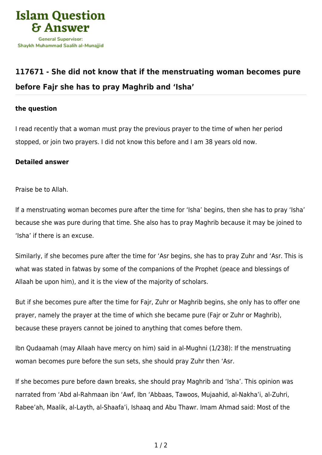

## **[117671 - She did not know that if the menstruating woman becomes pure](https://islamqa.com/en/answers/117671/she-did-not-know-that-if-the-menstruating-woman-becomes-pure-before-fajr-she-has-to-pray-maghrib-and-isha) [before Fajr she has to pray Maghrib and 'Isha'](https://islamqa.com/en/answers/117671/she-did-not-know-that-if-the-menstruating-woman-becomes-pure-before-fajr-she-has-to-pray-maghrib-and-isha)**

## **the question**

I read recently that a woman must pray the previous prayer to the time of when her period stopped, or join two prayers. I did not know this before and I am 38 years old now.

## **Detailed answer**

Praise be to Allah.

If a menstruating woman becomes pure after the time for 'Isha' begins, then she has to pray 'Isha' because she was pure during that time. She also has to pray Maghrib because it may be joined to 'Isha' if there is an excuse.

Similarly, if she becomes pure after the time for 'Asr begins, she has to pray Zuhr and 'Asr. This is what was stated in fatwas by some of the companions of the Prophet (peace and blessings of Allaah be upon him), and it is the view of the majority of scholars.

But if she becomes pure after the time for Fajr, Zuhr or Maghrib begins, she only has to offer one prayer, namely the prayer at the time of which she became pure (Fajr or Zuhr or Maghrib), because these prayers cannot be joined to anything that comes before them.

Ibn Qudaamah (may Allaah have mercy on him) said in al-Mughni (1/238): If the menstruating woman becomes pure before the sun sets, she should pray Zuhr then 'Asr.

If she becomes pure before dawn breaks, she should pray Maghrib and 'Isha'. This opinion was narrated from 'Abd al-Rahmaan ibn 'Awf, Ibn 'Abbaas, Tawoos, Mujaahid, al-Nakha'i, al-Zuhri, Rabee'ah, Maalik, al-Layth, al-Shaafa'i, Ishaaq and Abu Thawr. Imam Ahmad said: Most of the